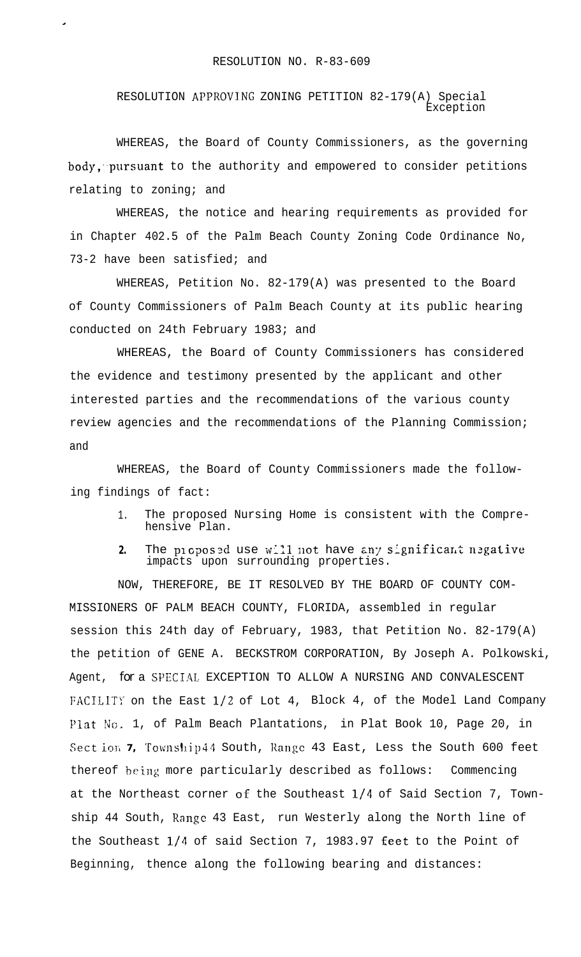RESOLUTION APPROVING ZONING PETITION 82-179(A) Special Exception

WHEREAS, the Board of County Commissioners, as the governing  $body,$  pursuant to the authority and empowered to consider petitions relating to zoning; and

WHEREAS, the notice and hearing requirements as provided for in Chapter 402.5 of the Palm Beach County Zoning Code Ordinance No, 73-2 have been satisfied; and

WHEREAS, Petition No. 82-179(A) was presented to the Board of County Commissioners of Palm Beach County at its public hearing conducted on 24th February 1983; and

WHEREAS, the Board of County Commissioners has considered the evidence and testimony presented by the applicant and other interested parties and the recommendations of the various county review agencies and the recommendations of the Planning Commission; and

WHEREAS, the Board of County Commissioners made the following findings of fact:

- 1. The proposed Nursing Home is consistent with the Comprehensive Plan.
- 2. The proposed use will not have any significant negative impacts upon surrounding properties.

NOW, THEREFORE, BE IT RESOLVED BY THE BOARD OF COUNTY COM-MISSIONERS OF PALM BEACH COUNTY, FLORIDA, assembled in regular session this 24th day of February, 1983, that Petition No. 82-179(A) the petition of GENE A. BECKSTROM CORPORATION, By Joseph A. Polkowski, Agent, *for* a SPECIAL EXCEPTION TO ALLOW A NURSING AND CONVALESCENT FACILITY on the East 1/2 of Lot 4, Block 4, of the Model Land Company Plat No. 1, of Palm Beach Plantations, in Plat Book 10, Page 20, in Sect ion 7, Township44 South, Range 43 East, Less the South 600 feet thereof being more particularly described as follows: Commencing at the Northeast corner of the Southeast  $1/4$  of Said Section 7, Township 44 South, Range 43 East, run Westerly along the North line of the Southeast l/4 of said Section 7, 1983.97 feet to the Point of Beginning, thence along the following bearing and distances: